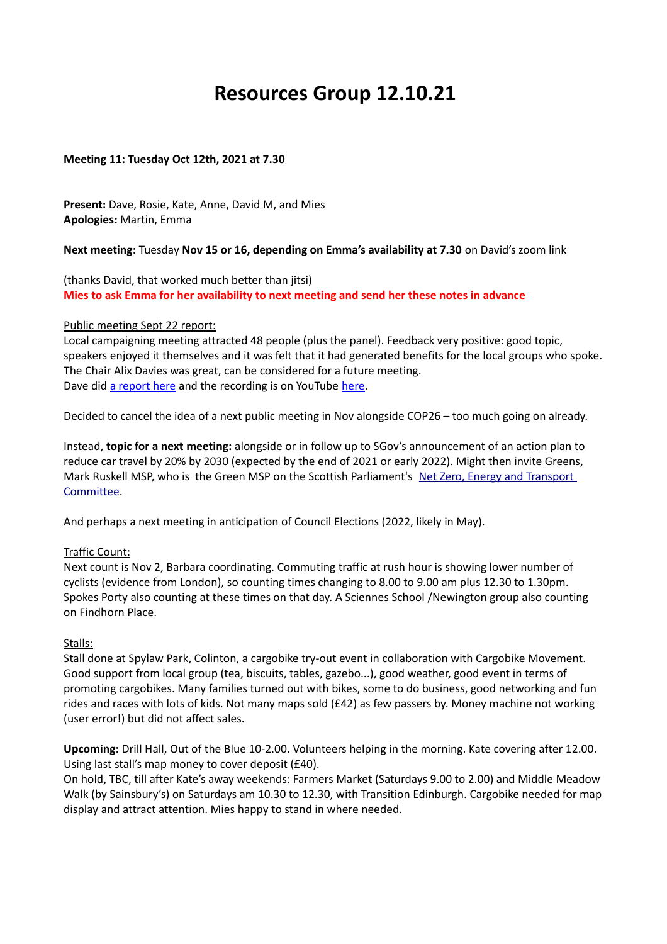# **Resources Group 12.10.21**

## **Meeting 11: Tuesday Oct 12th, 2021 at 7.30**

**Present:** Dave, Rosie, Kate, Anne, David M, and Mies **Apologies:** Martin, Emma

**Next meeting:** Tuesday **Nov 15 or 16, depending on Emma's availability at 7.30** on David's zoom link

(thanks David, that worked much better than jitsi) **Mies to ask Emma for her availability to next meeting and send her these notes in advance**

## Public meeting Sept 22 report:

Local campaigning meeting attracted 48 people (plus the panel). Feedback very positive: good topic, speakers enjoyed it themselves and it was felt that it had generated benefits for the local groups who spoke. The Chair Alix Davies was great, can be considered for a future meeting. Dave did [a report here](http://www.spokes.org.uk/2021/09/a-world-that-can-be-different-spokesmtg-report/#more-19598) and the recording is on YouTube [here.](https://www.youtube.com/watch?v=x5kb8zfZqBw)

Decided to cancel the idea of a next public meeting in Nov alongside COP26 – too much going on already.

Instead, **topic for a next meeting:** alongside or in follow up to SGov's announcement of an action plan to reduce car travel by 20% by 2030 (expected by the end of 2021 or early 2022). Might then invite Greens, Mark Ruskell MSP, who is the Green MSP on the Scottish Parliament's Net Zero, Energy and Transport [Committee.](https://www.parliament.scot/chamber-and-committees/committees/current-and-previous-committees/session-6-net-zero-energy-and-transport-committee)

And perhaps a next meeting in anticipation of Council Elections (2022, likely in May).

## Traffic Count:

Next count is Nov 2, Barbara coordinating. Commuting traffic at rush hour is showing lower number of cyclists (evidence from London), so counting times changing to 8.00 to 9.00 am plus 12.30 to 1.30pm. Spokes Porty also counting at these times on that day. A Sciennes School /Newington group also counting on Findhorn Place.

## Stalls:

Stall done at Spylaw Park, Colinton, a cargobike try-out event in collaboration with Cargobike Movement. Good support from local group (tea, biscuits, tables, gazebo...), good weather, good event in terms of promoting cargobikes. Many families turned out with bikes, some to do business, good networking and fun rides and races with lots of kids. Not many maps sold (£42) as few passers by. Money machine not working (user error!) but did not affect sales.

**Upcoming:** Drill Hall, Out of the Blue 10-2.00. Volunteers helping in the morning. Kate covering after 12.00. Using last stall's map money to cover deposit (£40).

On hold, TBC, till after Kate's away weekends: Farmers Market (Saturdays 9.00 to 2.00) and Middle Meadow Walk (by Sainsbury's) on Saturdays am 10.30 to 12.30, with Transition Edinburgh. Cargobike needed for map display and attract attention. Mies happy to stand in where needed.